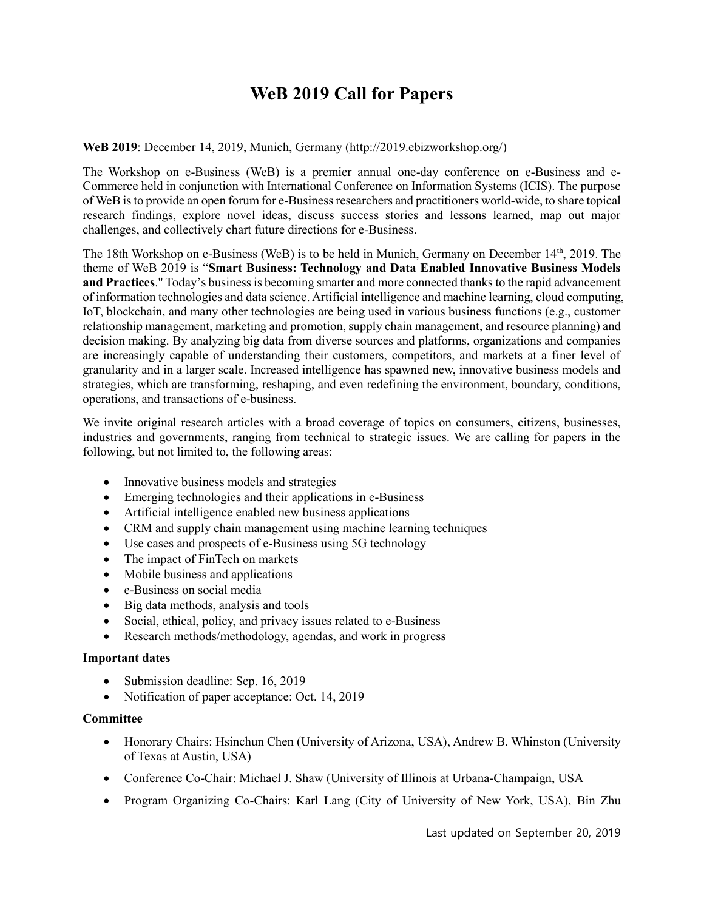# **WeB 2019 Call for Papers**

### **WeB 2019**: December 14, 2019, Munich, Germany (http://2019.ebizworkshop.org/)

The Workshop on e-Business (WeB) is a premier annual one-day conference on e-Business and e-Commerce held in conjunction with International Conference on Information Systems (ICIS). The purpose of WeB is to provide an open forum for e-Business researchers and practitioners world-wide, to share topical research findings, explore novel ideas, discuss success stories and lessons learned, map out major challenges, and collectively chart future directions for e-Business.

The 18th Workshop on e-Business (WeB) is to be held in Munich, Germany on December 14th, 2019. The theme of WeB 2019 is "**Smart Business: Technology and Data Enabled Innovative Business Models and Practices**." Today's business is becoming smarter and more connected thanks to the rapid advancement of information technologies and data science. Artificial intelligence and machine learning, cloud computing, IoT, blockchain, and many other technologies are being used in various business functions (e.g., customer relationship management, marketing and promotion, supply chain management, and resource planning) and decision making. By analyzing big data from diverse sources and platforms, organizations and companies are increasingly capable of understanding their customers, competitors, and markets at a finer level of granularity and in a larger scale. Increased intelligence has spawned new, innovative business models and strategies, which are transforming, reshaping, and even redefining the environment, boundary, conditions, operations, and transactions of e-business.

We invite original research articles with a broad coverage of topics on consumers, citizens, businesses, industries and governments, ranging from technical to strategic issues. We are calling for papers in the following, but not limited to, the following areas:

- Innovative business models and strategies
- Emerging technologies and their applications in e-Business
- Artificial intelligence enabled new business applications
- CRM and supply chain management using machine learning techniques
- Use cases and prospects of e-Business using 5G technology
- The impact of FinTech on markets
- Mobile business and applications
- e-Business on social media
- Big data methods, analysis and tools
- Social, ethical, policy, and privacy issues related to e-Business
- Research methods/methodology, agendas, and work in progress

### **Important dates**

- Submission deadline: Sep. 16, 2019
- Notification of paper acceptance: Oct. 14, 2019

### **Committee**

- Honorary Chairs: Hsinchun Chen (University of Arizona, USA), Andrew B. Whinston (University of Texas at Austin, USA)
- Conference Co-Chair: Michael J. Shaw (University of Illinois at Urbana-Champaign, USA
- Program Organizing Co-Chairs: Karl Lang (City of University of New York, USA), Bin Zhu